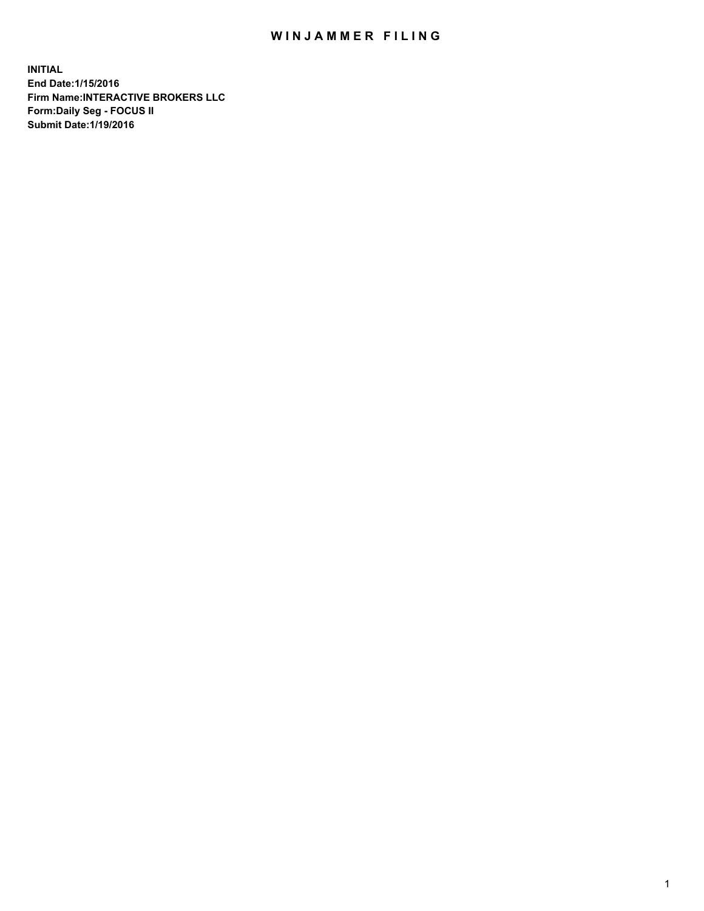## WIN JAMMER FILING

**INITIAL End Date:1/15/2016 Firm Name:INTERACTIVE BROKERS LLC Form:Daily Seg - FOCUS II Submit Date:1/19/2016**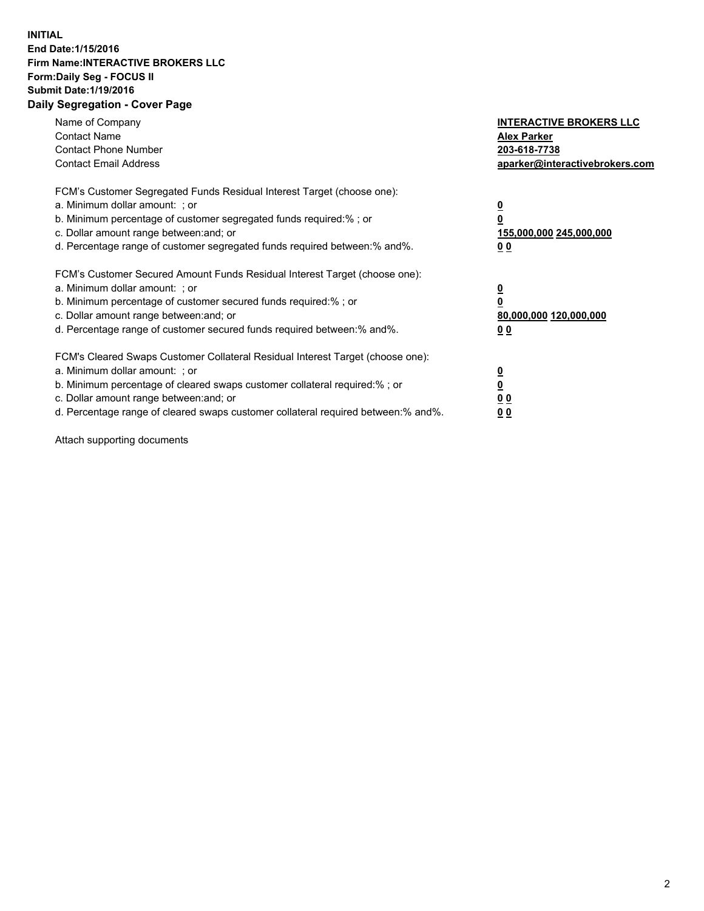## **INITIAL End Date:1/15/2016 Firm Name:INTERACTIVE BROKERS LLC Form:Daily Seg - FOCUS II Submit Date:1/19/2016 Daily Segregation - Cover Page**

| Name of Company<br><b>Contact Name</b><br><b>Contact Phone Number</b><br><b>Contact Email Address</b>                                                                                                                                                                                                                         | <b>INTERACTIVE BROKERS LLC</b><br><b>Alex Parker</b><br>203-618-7738<br>aparker@interactivebrokers.com |
|-------------------------------------------------------------------------------------------------------------------------------------------------------------------------------------------------------------------------------------------------------------------------------------------------------------------------------|--------------------------------------------------------------------------------------------------------|
| FCM's Customer Segregated Funds Residual Interest Target (choose one):<br>a. Minimum dollar amount: ; or<br>b. Minimum percentage of customer segregated funds required:% ; or<br>c. Dollar amount range between: and; or<br>d. Percentage range of customer segregated funds required between:% and%.                        | <u>0</u><br>155,000,000 245,000,000<br>0 <sub>0</sub>                                                  |
| FCM's Customer Secured Amount Funds Residual Interest Target (choose one):<br>a. Minimum dollar amount: ; or<br>b. Minimum percentage of customer secured funds required:%; or<br>c. Dollar amount range between: and; or<br>d. Percentage range of customer secured funds required between: % and %.                         | <u>0</u><br>80,000,000 120,000,000<br><u>00</u>                                                        |
| FCM's Cleared Swaps Customer Collateral Residual Interest Target (choose one):<br>a. Minimum dollar amount: ; or<br>b. Minimum percentage of cleared swaps customer collateral required:%; or<br>c. Dollar amount range between: and; or<br>d. Percentage range of cleared swaps customer collateral required between:% and%. | <u>0</u><br>0 <sub>0</sub><br>0 <sub>0</sub>                                                           |

Attach supporting documents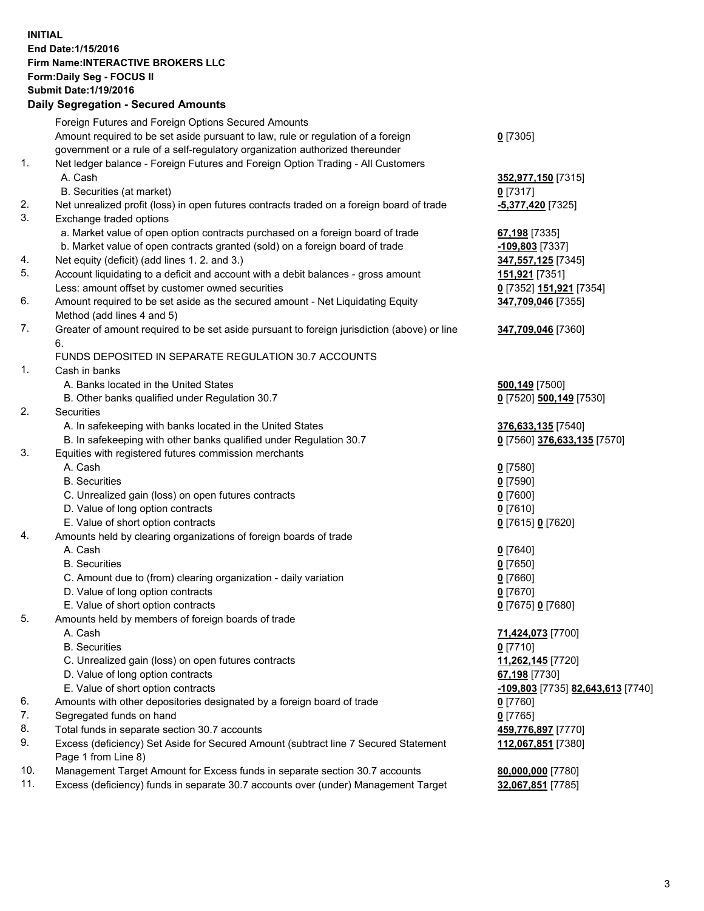## **INITIAL End Date:1/15/2016 Firm Name:INTERACTIVE BROKERS LLC Form:Daily Seg - FOCUS II Submit Date:1/19/2016 Daily Segregation - Secured Amounts**

|     | Dany Ocgregation - Oceanea Annoanta                                                         |                                                 |
|-----|---------------------------------------------------------------------------------------------|-------------------------------------------------|
|     | Foreign Futures and Foreign Options Secured Amounts                                         |                                                 |
|     | Amount required to be set aside pursuant to law, rule or regulation of a foreign            | $0$ [7305]                                      |
|     | government or a rule of a self-regulatory organization authorized thereunder                |                                                 |
| 1.  | Net ledger balance - Foreign Futures and Foreign Option Trading - All Customers             |                                                 |
|     | A. Cash                                                                                     | 352,977,150 [7315]                              |
|     | B. Securities (at market)                                                                   | $0$ [7317]                                      |
| 2.  | Net unrealized profit (loss) in open futures contracts traded on a foreign board of trade   | -5,377,420 [7325]                               |
| 3.  | Exchange traded options                                                                     |                                                 |
|     | a. Market value of open option contracts purchased on a foreign board of trade              | 67,198 [7335]                                   |
|     | b. Market value of open contracts granted (sold) on a foreign board of trade                | <u>-109,803</u> [7337]                          |
| 4.  | Net equity (deficit) (add lines 1. 2. and 3.)                                               | 347,557,125 [7345]                              |
| 5.  | Account liquidating to a deficit and account with a debit balances - gross amount           | 151,921 [7351]                                  |
|     | Less: amount offset by customer owned securities                                            | 0 [7352] 151,921 [7354]                         |
| 6.  | Amount required to be set aside as the secured amount - Net Liquidating Equity              | 347,709,046 [7355]                              |
|     | Method (add lines 4 and 5)                                                                  |                                                 |
| 7.  | Greater of amount required to be set aside pursuant to foreign jurisdiction (above) or line | 347,709,046 [7360]                              |
|     | 6.                                                                                          |                                                 |
|     | FUNDS DEPOSITED IN SEPARATE REGULATION 30.7 ACCOUNTS                                        |                                                 |
| 1.  | Cash in banks                                                                               |                                                 |
|     | A. Banks located in the United States                                                       | <b>500,149</b> [7500]                           |
|     | B. Other banks qualified under Regulation 30.7                                              | 0 [7520] 500,149 [7530]                         |
| 2.  | Securities                                                                                  |                                                 |
|     | A. In safekeeping with banks located in the United States                                   | 376,633,135 [7540]                              |
|     | B. In safekeeping with other banks qualified under Regulation 30.7                          | 0 [7560] 376,633,135 [7570]                     |
| 3.  | Equities with registered futures commission merchants                                       |                                                 |
|     | A. Cash                                                                                     | $0$ [7580]                                      |
|     | <b>B.</b> Securities                                                                        | $0$ [7590]                                      |
|     | C. Unrealized gain (loss) on open futures contracts                                         | $0$ [7600]                                      |
|     | D. Value of long option contracts                                                           | $0$ [7610]                                      |
|     | E. Value of short option contracts                                                          | 0 [7615] 0 [7620]                               |
| 4.  | Amounts held by clearing organizations of foreign boards of trade                           |                                                 |
|     | A. Cash                                                                                     | $0$ [7640]                                      |
|     | <b>B.</b> Securities                                                                        | $0$ [7650]                                      |
|     | C. Amount due to (from) clearing organization - daily variation                             | $0$ [7660]                                      |
|     | D. Value of long option contracts                                                           | $0$ [7670]                                      |
|     | E. Value of short option contracts                                                          | 0 [7675] 0 [7680]                               |
| 5.  | Amounts held by members of foreign boards of trade                                          |                                                 |
|     | A. Cash                                                                                     | 71,424,073 [7700]                               |
|     | <b>B.</b> Securities                                                                        | $0$ [7710]                                      |
|     | C. Unrealized gain (loss) on open futures contracts                                         | 11,262,145 [7720]                               |
|     | D. Value of long option contracts                                                           | 67,198 [7730]                                   |
|     | E. Value of short option contracts                                                          | <u>-109,803</u> [7735] <u>82,643,613</u> [7740] |
| 6.  | Amounts with other depositories designated by a foreign board of trade                      | $0$ [7760]                                      |
| 7.  | Segregated funds on hand                                                                    | $0$ [7765]                                      |
| 8.  | Total funds in separate section 30.7 accounts                                               | 459,776,897 [7770]                              |
| 9.  | Excess (deficiency) Set Aside for Secured Amount (subtract line 7 Secured Statement         | 112,067,851 [7380]                              |
|     | Page 1 from Line 8)                                                                         |                                                 |
| 10. | Management Target Amount for Excess funds in separate section 30.7 accounts                 | 80,000,000 [7780]                               |
| 11. | Excess (deficiency) funds in separate 30.7 accounts over (under) Management Target          | 32,067,851 [7785]                               |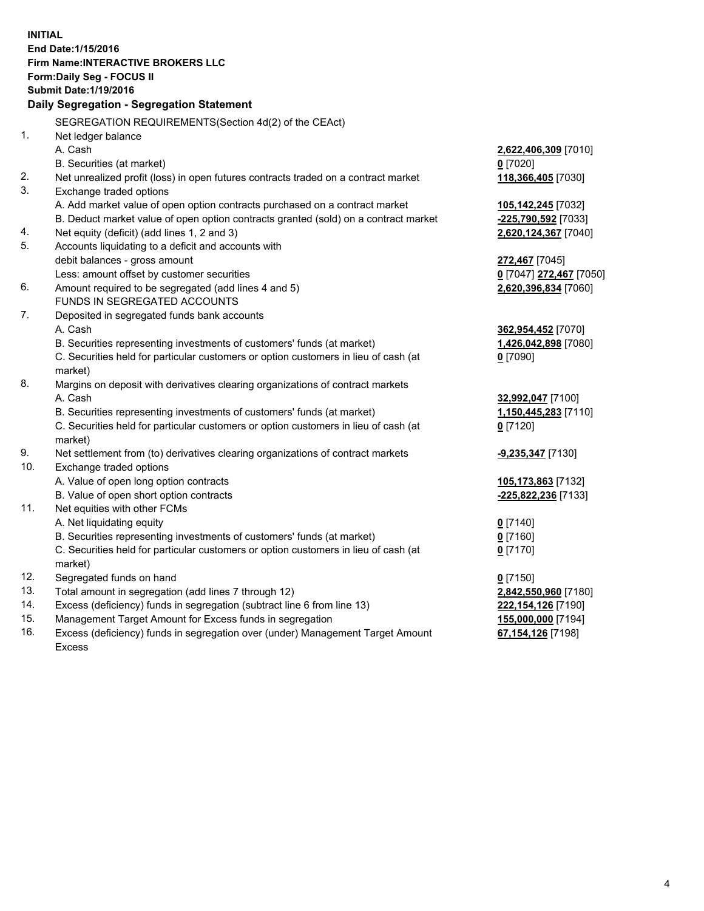**INITIAL End Date:1/15/2016 Firm Name:INTERACTIVE BROKERS LLC Form:Daily Seg - FOCUS II Submit Date:1/19/2016 Daily Segregation - Segregation Statement** SEGREGATION REQUIREMENTS(Section 4d(2) of the CEAct) 1. Net ledger balance A. Cash **2,622,406,309** [7010] B. Securities (at market) **0** [7020] 2. Net unrealized profit (loss) in open futures contracts traded on a contract market **118,366,405** [7030] 3. Exchange traded options A. Add market value of open option contracts purchased on a contract market **105,142,245** [7032] B. Deduct market value of open option contracts granted (sold) on a contract market **-225,790,592** [7033] 4. Net equity (deficit) (add lines 1, 2 and 3) **2,620,124,367** [7040] 5. Accounts liquidating to a deficit and accounts with debit balances - gross amount **272,467** [7045] Less: amount offset by customer securities **0** [7047] **272,467** [7050] 6. Amount required to be segregated (add lines 4 and 5) **2,620,396,834** [7060] FUNDS IN SEGREGATED ACCOUNTS 7. Deposited in segregated funds bank accounts A. Cash **362,954,452** [7070] B. Securities representing investments of customers' funds (at market) **1,426,042,898** [7080] C. Securities held for particular customers or option customers in lieu of cash (at market) **0** [7090] 8. Margins on deposit with derivatives clearing organizations of contract markets A. Cash **32,992,047** [7100] B. Securities representing investments of customers' funds (at market) **1,150,445,283** [7110] C. Securities held for particular customers or option customers in lieu of cash (at market) **0** [7120] 9. Net settlement from (to) derivatives clearing organizations of contract markets **-9,235,347** [7130] 10. Exchange traded options A. Value of open long option contracts **105,173,863** [7132] B. Value of open short option contracts **-225,822,236** [7133] 11. Net equities with other FCMs A. Net liquidating equity **0** [7140] B. Securities representing investments of customers' funds (at market) **0** [7160] C. Securities held for particular customers or option customers in lieu of cash (at market) **0** [7170] 12. Segregated funds on hand **0** [7150] 13. Total amount in segregation (add lines 7 through 12) **2,842,550,960** [7180] 14. Excess (deficiency) funds in segregation (subtract line 6 from line 13) **222,154,126** [7190] 15. Management Target Amount for Excess funds in segregation **155,000,000** [7194] **67,154,126** [7198]

16. Excess (deficiency) funds in segregation over (under) Management Target Amount Excess